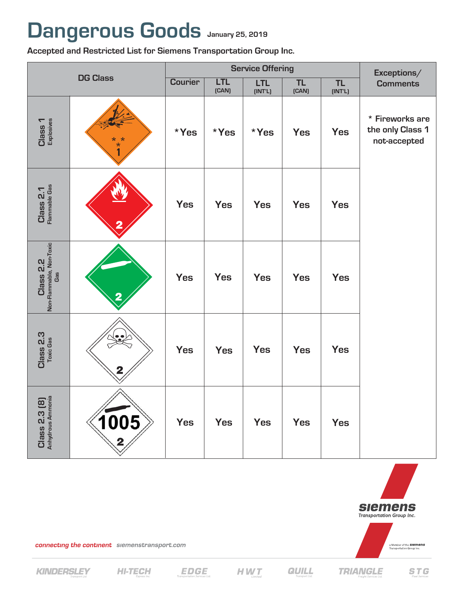## Dangerous Goods January 25, 2019

Accepted and Restricted List for Siemens Transportation Group Inc.

| <b>DG Class</b>                              |                         | <b>Service Offering</b> |                     |                       |                    |                      | Exceptions/                                         |
|----------------------------------------------|-------------------------|-------------------------|---------------------|-----------------------|--------------------|----------------------|-----------------------------------------------------|
|                                              |                         | <b>Courier</b>          | <b>LTL</b><br>(CAN) | <b>LTL</b><br>[INT'L] | <b>TL</b><br>(CAN) | <b>TL</b><br>(INT'L) | <b>Comments</b>                                     |
| Class 1<br>Explosives                        | $\overline{1}$          | $*Yes$                  | *Yes                | *Yes                  | <b>Yes</b>         | <b>Yes</b>           | * Fireworks are<br>the only Class 1<br>not-accepted |
| Class 2.1<br>Flammable Gas                   |                         | <b>Yes</b>              | <b>Yes</b>          | <b>Yes</b>            | <b>Yes</b>         | <b>Yes</b>           |                                                     |
| Class 2.2<br>Non-Flammable, Non-Toxic<br>Gas | $\overline{\mathbf{2}}$ | <b>Yes</b>              | <b>Yes</b>          | <b>Yes</b>            | <b>Yes</b>         | <b>Yes</b>           |                                                     |
| Class 2.3<br>Toxic Gas                       | 2                       | <b>Yes</b>              | <b>Yes</b>          | <b>Yes</b>            | <b>Yes</b>         | <b>Yes</b>           |                                                     |
| Class 2.3 (8)<br>Anhydrous Ammonia           | 1005<br>2               | <b>Yes</b>              | <b>Yes</b>          | <b>Yes</b>            | Yes                | <b>Yes</b>           |                                                     |



**TRIANGLE** 

connecting the continent siemenstransport.com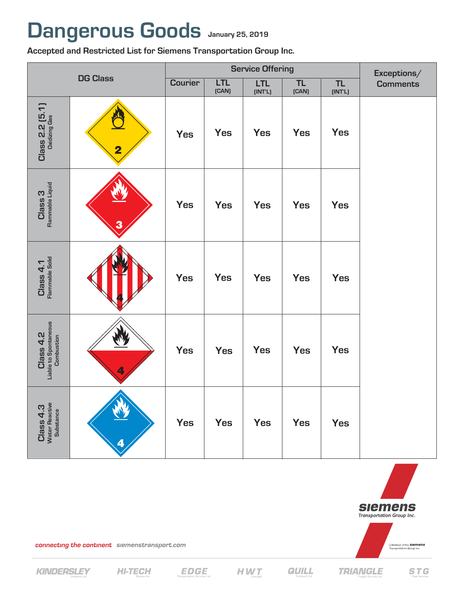## **Dangerous Goods January 25, 2019 January 25, 2019**

**Accepted and Restricted List for Siemens Transportation Group Inc.**

| <b>DG Class</b>                                  |                         |                | <b>Service Offering</b> | Exceptions/           |                    |                      |                 |
|--------------------------------------------------|-------------------------|----------------|-------------------------|-----------------------|--------------------|----------------------|-----------------|
|                                                  |                         | <b>Courier</b> | <b>LTL</b><br>(CAN)     | <b>LTL</b><br>[INT'L] | <b>TL</b><br>(CAN) | <b>TL</b><br>(INT'L) | <b>Comments</b> |
| $Class 2.2 (5.1)$<br>Dxidizing Gas               | $\overline{\mathbf{2}}$ | <b>Yes</b>     | <b>Yes</b>              | <b>Yes</b>            | <b>Yes</b>         | <b>Yes</b>           |                 |
| Class 3<br>Flammable Liquid                      | 3                       | <b>Yes</b>     | <b>Yes</b>              | <b>Yes</b>            | <b>Yes</b>         | <b>Yes</b>           |                 |
| Class 4.1<br>Flammable Solid                     |                         | <b>Yes</b>     | <b>Yes</b>              | <b>Yes</b>            | <b>Yes</b>         | <b>Yes</b>           |                 |
| Class 4.2<br>Liable to Spontaneous<br>Combustion | 4                       | <b>Yes</b>     | <b>Yes</b>              | <b>Yes</b>            | <b>Yes</b>         | <b>Yes</b>           |                 |
| Class 4.3<br>Water Reactive<br>Substance         | Ą<br>4                  | <b>Yes</b>     | Yes                     | <b>Yes</b>            | <b>Yes</b>         | <b>Yes</b>           |                 |



**TRIANGLE** 

connecting the continent siemenstransport.com

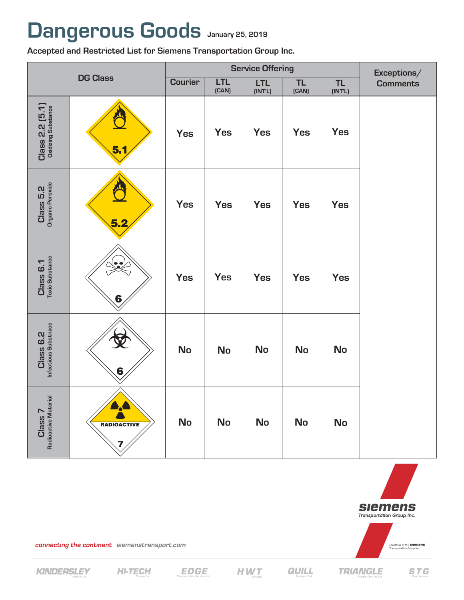## **Dangerous Goods January 25, 2019**

**Accepted and Restricted List for Siemens Transportation Group Inc.**

| <b>DG Class</b>                        |                           | <b>Service Offering</b> |                     |                       |                    |                      | Exceptions/     |
|----------------------------------------|---------------------------|-------------------------|---------------------|-----------------------|--------------------|----------------------|-----------------|
|                                        |                           | <b>Courier</b>          | <b>LTL</b><br>(CAN) | <b>LTL</b><br>(INT'L) | <b>TL</b><br>(CAN) | <b>TL</b><br>(INT'L) | <b>Comments</b> |
| Class 2.2 (5.1)<br>Oxidizing Substance | 5.1                       | <b>Yes</b>              | <b>Yes</b>          | <b>Yes</b>            | <b>Yes</b>         | <b>Yes</b>           |                 |
| Class 5.2<br>Organic Peroxide          | 5.2                       | <b>Yes</b>              | <b>Yes</b>          | Yes                   | <b>Yes</b>         | <b>Yes</b>           |                 |
| Class 6.1<br>Toxic Substance           | $\ddot{\phantom{a}}$<br>6 | <b>Yes</b>              | <b>Yes</b>          | <b>Yes</b>            | <b>Yes</b>         | <b>Yes</b>           |                 |
| Class 6.2<br>Infectious Substnace      | 6                         | <b>No</b>               | <b>No</b>           | <b>No</b>             | <b>No</b>          | <b>No</b>            |                 |
| Class 7<br>Radioactive Material        | RADIOACTIVE               | <b>No</b>               | <b>No</b>           | <b>No</b>             | <b>No</b>          | <b>No</b>            |                 |



connecting the continent siemenstransport.com



**QUILL**